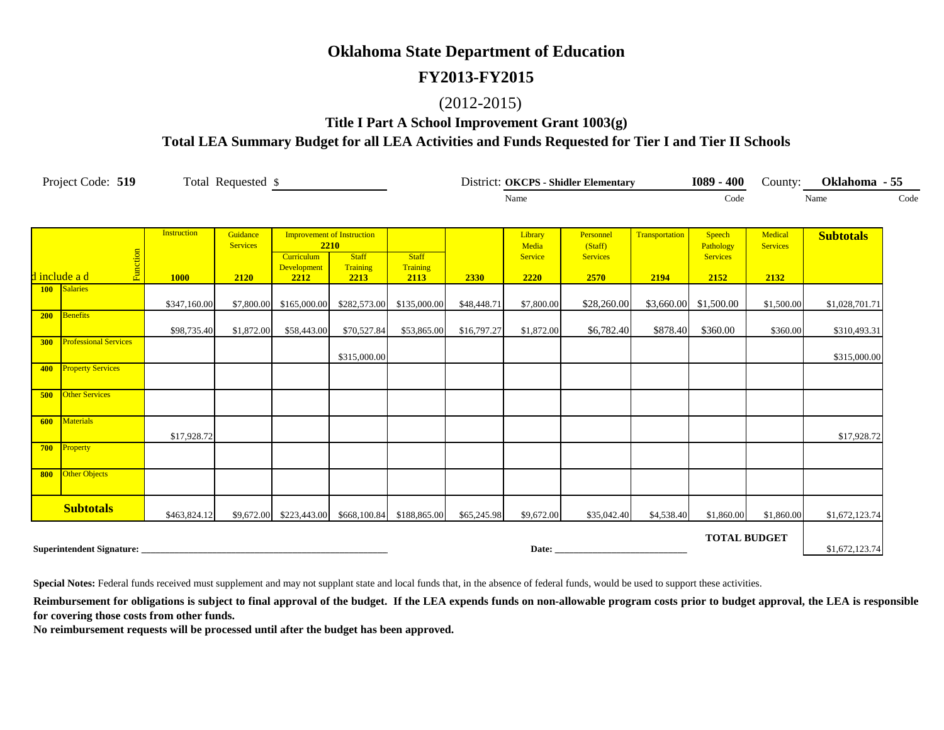#### **FY2013-FY2015**

#### (2012-2015)

#### **Title I Part A School Improvement Grant 1003(g) Total LEA Summary Budget for all LEA Activities and Funds Requested for Tier I and Tier II Schools**

| Project Code: 519<br>Total Requested \$ |                                        |                                   |                                     | District: OKCPS - Shidler Elementary                                           |                                                   |                                  |             |                                     | $1089 - 400$                                    | County:                | Oklahoma - 55                                  |                                    |                  |
|-----------------------------------------|----------------------------------------|-----------------------------------|-------------------------------------|--------------------------------------------------------------------------------|---------------------------------------------------|----------------------------------|-------------|-------------------------------------|-------------------------------------------------|------------------------|------------------------------------------------|------------------------------------|------------------|
|                                         |                                        |                                   |                                     |                                                                                |                                                   |                                  |             | Name                                |                                                 |                        | Code                                           |                                    | Code<br>Name     |
|                                         | Function<br><mark>d include a d</mark> | <b>Instruction</b><br><b>1000</b> | Guidance<br><b>Services</b><br>2120 | <b>Improvement of Instruction</b><br>2210<br>Curriculum<br>Development<br>2212 | <b>Staff</b><br>Training<br>2213                  | <b>Staff</b><br>Training<br>2113 | 2330        | Library<br>Media<br>Service<br>2220 | Personnel<br>(Staff)<br><b>Services</b><br>2570 | Transportation<br>2194 | Speech<br>Pathology<br><b>Services</b><br>2152 | Medical<br><b>Services</b><br>2132 | <b>Subtotals</b> |
| <b>100</b>                              | Salaries                               | \$347,160.00                      | \$7,800.00                          |                                                                                | \$165,000.00 \$282,573.00                         | \$135,000.00                     | \$48,448.71 | \$7,800.00                          | \$28,260.00                                     |                        | \$3,660.00 \$1,500.00                          | \$1,500.00                         | \$1,028,701.71   |
| 200                                     | <b>Benefits</b>                        | \$98,735.40                       | \$1,872.00                          | \$58,443.00                                                                    | \$70,527.84                                       | \$53,865.00                      | \$16,797.27 | \$1,872.00                          | \$6,782.40                                      | \$878.40               | \$360.00                                       | \$360.00                           | \$310,493.31     |
| 300                                     | <b>Professional Services</b>           |                                   |                                     |                                                                                | \$315,000.00                                      |                                  |             |                                     |                                                 |                        |                                                |                                    | \$315,000.00     |
| 400                                     | <b>Property Services</b>               |                                   |                                     |                                                                                |                                                   |                                  |             |                                     |                                                 |                        |                                                |                                    |                  |
| 500                                     | <b>Other Services</b>                  |                                   |                                     |                                                                                |                                                   |                                  |             |                                     |                                                 |                        |                                                |                                    |                  |
| 600                                     | Materials                              | \$17,928.72                       |                                     |                                                                                |                                                   |                                  |             |                                     |                                                 |                        |                                                |                                    | \$17,928.72      |
| 700                                     | Property                               |                                   |                                     |                                                                                |                                                   |                                  |             |                                     |                                                 |                        |                                                |                                    |                  |
| 800                                     | <b>Other Objects</b>                   |                                   |                                     |                                                                                |                                                   |                                  |             |                                     |                                                 |                        |                                                |                                    |                  |
|                                         | <b>Subtotals</b>                       | \$463,824.12                      |                                     |                                                                                | \$9,672.00 \$223,443.00 \$668,100.84 \$188,865.00 |                                  | \$65,245.98 | \$9,672.00                          | \$35,042.40                                     | \$4,538.40             | \$1,860.00                                     | \$1,860.00                         | \$1,672,123.74   |
|                                         | Superintendent Signature:              |                                   |                                     |                                                                                |                                                   |                                  |             | Date: $\overline{\phantom{a}}$      |                                                 |                        | <b>TOTAL BUDGET</b>                            |                                    | \$1,672,123.74   |

**Special Notes:** Federal funds received must supplement and may not supplant state and local funds that, in the absence of federal funds, would be used to support these activities.

Reimbursement for obligations is subject to final approval of the budget. If the LEA expends funds on non-allowable program costs prior to budget approval, the LEA is responsible **for covering those costs from other funds.**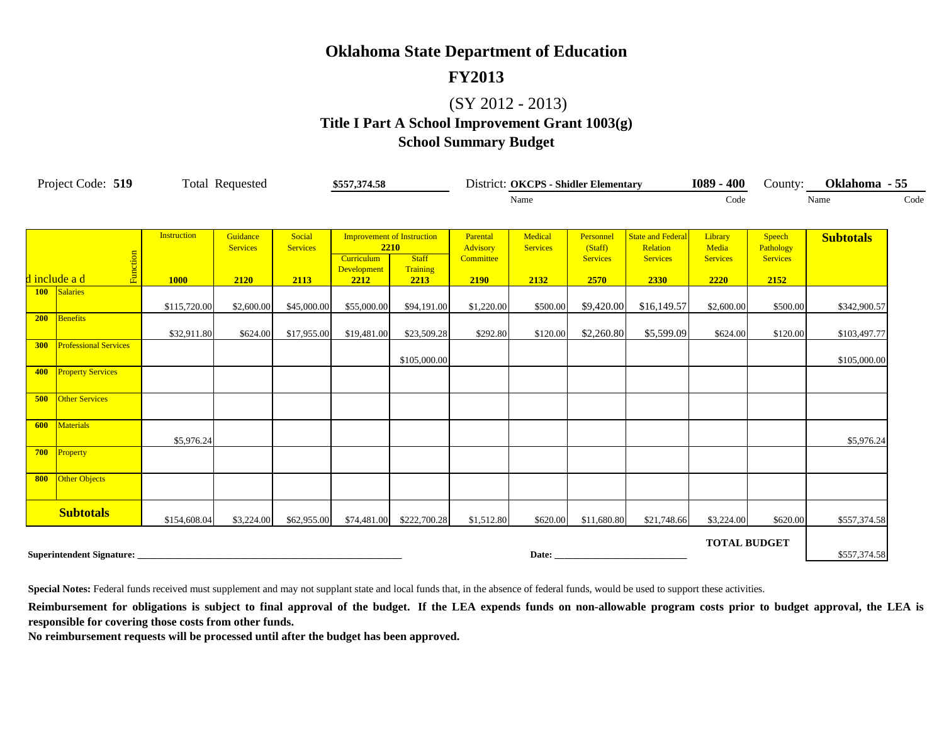#### **FY2013**

### (SY 2012 - 2013)

## **Title I Part A School Improvement Grant 1003(g) School Summary Budget**

| Project Code: 519                   | <b>Total Requested</b> |                             | \$557,374.58              |                                                         | District: OKCPS - Shidler Elementary |                                          |                            |                                         | $1089 - 400$                                            | County:                             | Oklahoma - 55                          |                  |
|-------------------------------------|------------------------|-----------------------------|---------------------------|---------------------------------------------------------|--------------------------------------|------------------------------------------|----------------------------|-----------------------------------------|---------------------------------------------------------|-------------------------------------|----------------------------------------|------------------|
|                                     |                        |                             |                           |                                                         |                                      | Name                                     |                            |                                         | Code                                                    |                                     | Code<br>Name                           |                  |
|                                     |                        |                             |                           |                                                         |                                      |                                          |                            |                                         |                                                         |                                     |                                        |                  |
|                                     | <b>Instruction</b>     | Guidance<br><b>Services</b> | Social<br><b>Services</b> | <b>Improvement of Instruction</b><br>2210<br>Curriculum | <b>Staff</b>                         | Parental<br><b>Advisory</b><br>Committee | Medical<br><b>Services</b> | Personnel<br>(Staff)<br><b>Services</b> | <b>State and Federal</b><br>Relation<br><b>Services</b> | Library<br>Media<br><b>Services</b> | Speech<br>Pathology<br><b>Services</b> | <b>Subtotals</b> |
| Function<br>d include a d           | <b>1000</b>            | 2120                        | 2113                      | Development<br>2212                                     | Training<br>2213                     | 2190                                     | 2132                       | 2570                                    | 2330                                                    | 2220                                | 2152                                   |                  |
| Salaries<br><b>100</b>              | \$115,720.00           | \$2,600.00                  | \$45,000.00               | \$55,000.00                                             | \$94,191.00                          | \$1,220.00                               | \$500.00                   | \$9,420.00                              | \$16,149.57                                             | \$2,600.00                          | \$500.00                               | \$342,900.57     |
| <b>Benefits</b><br>200              | \$32,911.80            | \$624.00                    | \$17,955.00               | \$19,481.00                                             | \$23,509.28                          | \$292.80                                 | \$120.00                   | \$2,260.80                              | \$5,599.09                                              | \$624.00                            | \$120.00                               | \$103,497.77     |
| <b>Professional Services</b><br>300 |                        |                             |                           |                                                         | \$105,000.00                         |                                          |                            |                                         |                                                         |                                     |                                        | \$105,000.00     |
| <b>Property Services</b><br>400     |                        |                             |                           |                                                         |                                      |                                          |                            |                                         |                                                         |                                     |                                        |                  |
| <b>Other Services</b><br>500        |                        |                             |                           |                                                         |                                      |                                          |                            |                                         |                                                         |                                     |                                        |                  |
| Materials<br>600                    | \$5,976.24             |                             |                           |                                                         |                                      |                                          |                            |                                         |                                                         |                                     |                                        | \$5,976.24       |
| 700<br>Property                     |                        |                             |                           |                                                         |                                      |                                          |                            |                                         |                                                         |                                     |                                        |                  |
| Other Objects<br>800                |                        |                             |                           |                                                         |                                      |                                          |                            |                                         |                                                         |                                     |                                        |                  |
| <b>Subtotals</b>                    | \$154,608.04           | \$3,224.00                  | \$62,955.00               | \$74,481.00                                             | \$222,700.28                         | \$1,512.80                               | \$620.00                   | \$11,680.80                             | \$21,748.66                                             | \$3,224.00                          | \$620.00                               | \$557,374.58     |
| Superintendent Signature: __        |                        |                             |                           |                                                         |                                      |                                          |                            |                                         |                                                         | <b>TOTAL BUDGET</b>                 |                                        | \$557,374.58     |

Special Notes: Federal funds received must supplement and may not supplant state and local funds that, in the absence of federal funds, would be used to support these activities.

Reimbursement for obligations is subject to final approval of the budget. If the LEA expends funds on non-allowable program costs prior to budget approval, the LEA is **responsible for covering those costs from other funds.**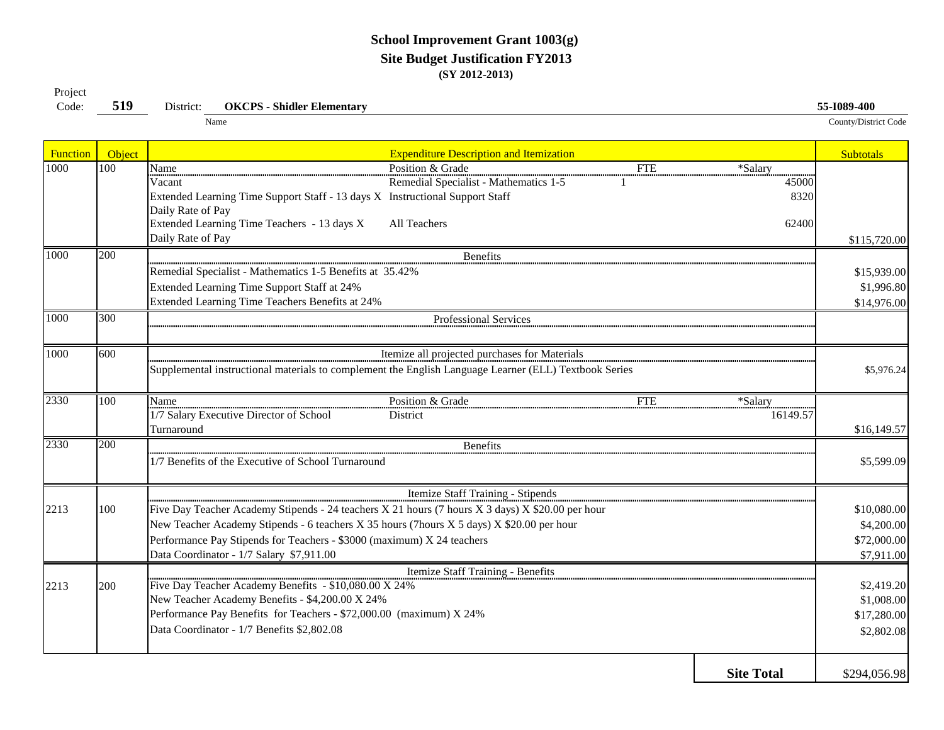#### **School Improvement Grant 1003(g) Site Budget Justification FY2013 (SY 2012-2013)**

| Code:           | 519    | <b>OKCPS - Shidler Elementary</b><br>District:                                                                                                                                                                                                                                                                                                           | 55-1089-400                                            |
|-----------------|--------|----------------------------------------------------------------------------------------------------------------------------------------------------------------------------------------------------------------------------------------------------------------------------------------------------------------------------------------------------------|--------------------------------------------------------|
|                 |        | Name                                                                                                                                                                                                                                                                                                                                                     | County/District Code                                   |
| <b>Function</b> | Object | <b>Expenditure Description and Itemization</b>                                                                                                                                                                                                                                                                                                           | <b>Subtotals</b>                                       |
| 1000            | 100    | Position & Grade<br>Name<br><b>FTE</b><br>*Salary<br>Remedial Specialist - Mathematics 1-5<br>45000<br>Vacant<br>Extended Learning Time Support Staff - 13 days X Instructional Support Staff<br>8320<br>Daily Rate of Pay<br>Extended Learning Time Teachers - 13 days X<br>All Teachers<br>62400                                                       |                                                        |
|                 |        | Daily Rate of Pay                                                                                                                                                                                                                                                                                                                                        | \$115,720.00                                           |
| 1000            | 200    | Benefits<br>Remedial Specialist - Mathematics 1-5 Benefits at 35.42%<br>Extended Learning Time Support Staff at 24%<br>Extended Learning Time Teachers Benefits at 24%                                                                                                                                                                                   | \$15,939.00<br>\$1,996.80<br>\$14,976.00               |
| 1000            | 300    | Professional Services                                                                                                                                                                                                                                                                                                                                    |                                                        |
| 1000            | 600    | Itemize all projected purchases for Materials<br>Supplemental instructional materials to complement the English Language Learner (ELL) Textbook Series                                                                                                                                                                                                   | \$5,976.24                                             |
| 2330            | 100    | Position & Grade<br><b>FTE</b><br>*Salary<br>Name<br>1/7 Salary Executive Director of School<br>District<br>16149.57<br>Turnaround                                                                                                                                                                                                                       | \$16,149.57                                            |
| 2330            | 200    | <b>Benefits</b><br>1/7 Benefits of the Executive of School Turnaround                                                                                                                                                                                                                                                                                    | \$5,599.09                                             |
| 2213            | 100    | Itemize Staff Training - Stipends<br>Five Day Teacher Academy Stipends - 24 teachers X 21 hours (7 hours X 3 days) X \$20.00 per hour<br>New Teacher Academy Stipends - 6 teachers X 35 hours (7hours X 5 days) X \$20.00 per hour<br>Performance Pay Stipends for Teachers - \$3000 (maximum) X 24 teachers<br>Data Coordinator - 1/7 Salary \$7,911.00 | \$10,080.00<br>\$4,200.00<br>\$72,000.00<br>\$7,911.00 |
| 2213            | 200    | Itemize Staff Training - Benefits<br>Five Day Teacher Academy Benefits - \$10,080.00 X 24%<br>New Teacher Academy Benefits - \$4,200.00 X 24%<br>Performance Pay Benefits for Teachers - \$72,000.00 (maximum) X 24%<br>Data Coordinator - 1/7 Benefits \$2,802.08                                                                                       | \$2,419.20<br>\$1,008.00<br>\$17,280.00<br>\$2,802.08  |

**Site Total**\$294,056.98

Project<br>Code: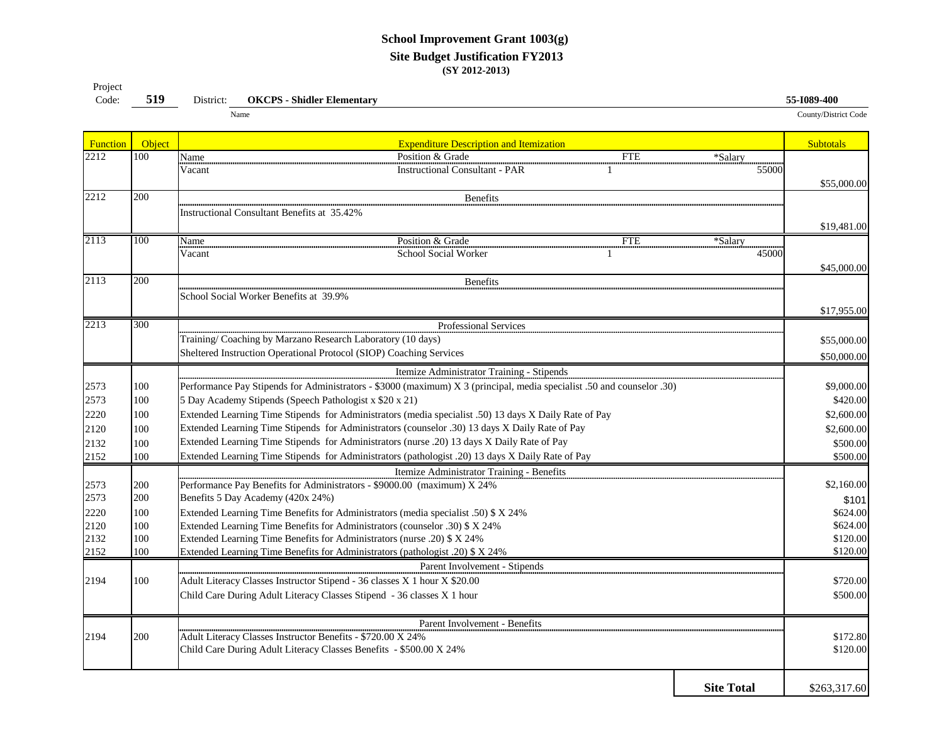#### **School Improvement Grant 1003(g) Site Budget Justification FY2013 (SY 2012-2013)**

| Project |     |           |                                               |                      |
|---------|-----|-----------|-----------------------------------------------|----------------------|
| Code:   | 519 | District: | <b>Shidler Elementary</b><br><b>OKCPS</b> - U | 55-1089-400          |
|         |     |           | Name                                          | County/District Code |

| <b>Function</b> | Object     | <b>Expenditure Description and Itemization</b>                                                                                                         | <b>Subtotals</b>     |  |  |  |  |  |
|-----------------|------------|--------------------------------------------------------------------------------------------------------------------------------------------------------|----------------------|--|--|--|--|--|
| 2212            | 100        | Name<br>Position & Grade<br><b>FTE</b><br>*Salary                                                                                                      |                      |  |  |  |  |  |
|                 |            | 55000<br><b>Instructional Consultant - PAR</b><br>Vacant                                                                                               |                      |  |  |  |  |  |
|                 |            |                                                                                                                                                        | \$55,000.00          |  |  |  |  |  |
| 2212            | 200        | Benefits                                                                                                                                               |                      |  |  |  |  |  |
|                 |            | <b>Instructional Consultant Benefits at 35.42%</b>                                                                                                     |                      |  |  |  |  |  |
|                 |            |                                                                                                                                                        | \$19,481.00          |  |  |  |  |  |
| 2113            | 100        | Position & Grade<br><b>FTE</b><br>$\overline{\text{Name}}$<br>*Salary                                                                                  |                      |  |  |  |  |  |
|                 |            | Vacant<br>School Social Worker<br>45000                                                                                                                |                      |  |  |  |  |  |
|                 |            |                                                                                                                                                        | \$45,000.00          |  |  |  |  |  |
| 2113            | 200        | <b>Benefits</b>                                                                                                                                        |                      |  |  |  |  |  |
|                 |            | School Social Worker Benefits at 39.9%                                                                                                                 |                      |  |  |  |  |  |
|                 |            |                                                                                                                                                        | \$17,955.00          |  |  |  |  |  |
| 2213            | 300        | Professional Services                                                                                                                                  |                      |  |  |  |  |  |
|                 |            | Training/Coaching by Marzano Research Laboratory (10 days)                                                                                             | \$55,000.00          |  |  |  |  |  |
|                 |            | Sheltered Instruction Operational Protocol (SIOP) Coaching Services                                                                                    | \$50,000.00          |  |  |  |  |  |
|                 |            | Itemize Administrator Training - Stipends                                                                                                              |                      |  |  |  |  |  |
| 2573            | 100        |                                                                                                                                                        | \$9,000.00           |  |  |  |  |  |
|                 |            | Performance Pay Stipends for Administrators - \$3000 (maximum) X 3 (principal, media specialist .50 and counselor .30)                                 |                      |  |  |  |  |  |
| 2573            | 100        | 5 Day Academy Stipends (Speech Pathologist x \$20 x 21)                                                                                                | \$420.00             |  |  |  |  |  |
| 2220            | 100        | Extended Learning Time Stipends for Administrators (media specialist .50) 13 days X Daily Rate of Pay                                                  | \$2,600.00           |  |  |  |  |  |
| 2120            | 100        | Extended Learning Time Stipends for Administrators (counselor .30) 13 days X Daily Rate of Pay                                                         | \$2,600.00           |  |  |  |  |  |
| 2132            | 100        | Extended Learning Time Stipends for Administrators (nurse .20) 13 days X Daily Rate of Pay                                                             | \$500.00             |  |  |  |  |  |
| 2152            | 100        | Extended Learning Time Stipends for Administrators (pathologist .20) 13 days X Daily Rate of Pay                                                       | \$500.00             |  |  |  |  |  |
|                 |            | Itemize Administrator Training - Benefits                                                                                                              |                      |  |  |  |  |  |
| 2573            | 200        | Performance Pay Benefits for Administrators - \$9000.00 (maximum) X 24%                                                                                | \$2,160.00           |  |  |  |  |  |
| 2573            | 200        | Benefits 5 Day Academy (420x 24%)                                                                                                                      | \$101                |  |  |  |  |  |
| 2220<br>2120    | 100<br>100 | Extended Learning Time Benefits for Administrators (media specialist .50) \$ X 24%                                                                     | \$624.00             |  |  |  |  |  |
| 2132            | 100        | Extended Learning Time Benefits for Administrators (counselor .30) \$ X 24%<br>Extended Learning Time Benefits for Administrators (nurse .20) \$ X 24% | \$624.00<br>\$120.00 |  |  |  |  |  |
| 2152            | 100        | Extended Learning Time Benefits for Administrators (pathologist .20) \$ X 24%                                                                          | \$120.00             |  |  |  |  |  |
|                 |            | Parent Involvement - Stipends                                                                                                                          |                      |  |  |  |  |  |
|                 | 100        |                                                                                                                                                        |                      |  |  |  |  |  |
| 2194            |            | Adult Literacy Classes Instructor Stipend - 36 classes X 1 hour X \$20.00                                                                              | \$720.00             |  |  |  |  |  |
|                 |            | Child Care During Adult Literacy Classes Stipend - 36 classes X 1 hour                                                                                 | \$500.00             |  |  |  |  |  |
|                 |            | Parent Involvement - Benefits                                                                                                                          |                      |  |  |  |  |  |
| 2194            | 200        | Adult Literacy Classes Instructor Benefits - \$720.00 X 24%                                                                                            | \$172.80             |  |  |  |  |  |
|                 |            | Child Care During Adult Literacy Classes Benefits - \$500.00 X 24%                                                                                     | \$120.00             |  |  |  |  |  |
|                 |            |                                                                                                                                                        |                      |  |  |  |  |  |
|                 |            |                                                                                                                                                        |                      |  |  |  |  |  |
|                 |            | <b>Site Total</b>                                                                                                                                      | \$263,317.60         |  |  |  |  |  |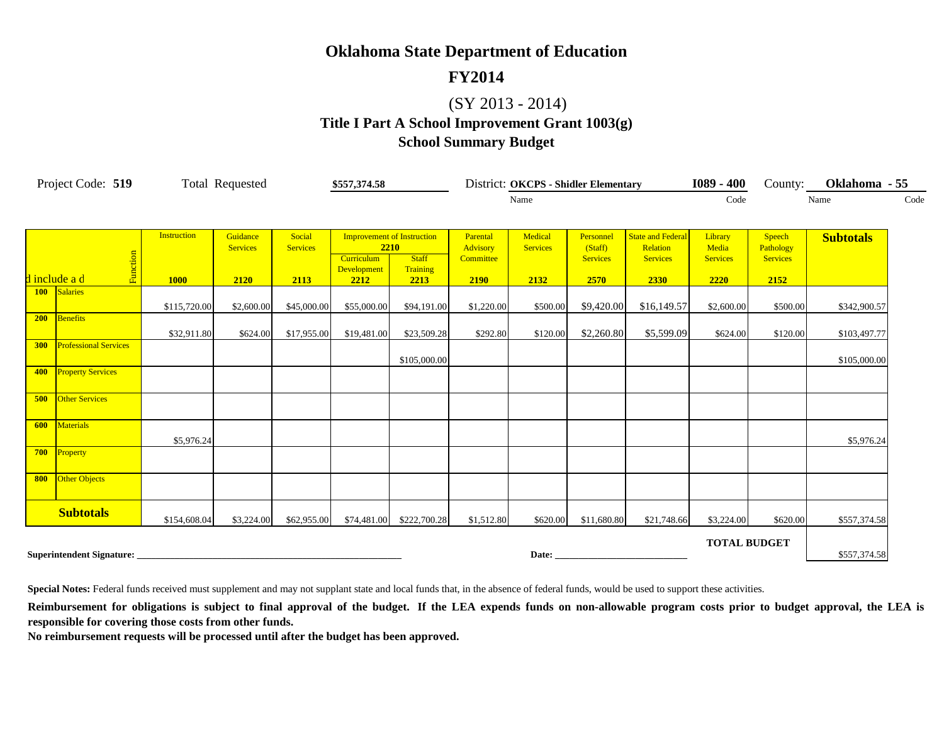#### **FY2014**

## (SY 2013 - 2014)

## **Title I Part A School Improvement Grant 1003(g) School Summary Budget**

| Project Code: 519                   |                    | <b>Total Requested</b>      |                           | \$557,374.58                              |                          |                      | District: OKCPS - Shidler Elementary |                      |                                      |                     | County:             | Oklahoma - 55    |  |
|-------------------------------------|--------------------|-----------------------------|---------------------------|-------------------------------------------|--------------------------|----------------------|--------------------------------------|----------------------|--------------------------------------|---------------------|---------------------|------------------|--|
|                                     |                    |                             |                           |                                           |                          | Name                 |                                      |                      | Code                                 |                     | Name                | Code             |  |
|                                     |                    |                             |                           |                                           |                          |                      |                                      |                      |                                      |                     |                     |                  |  |
|                                     | <b>Instruction</b> | Guidance<br><b>Services</b> | Social<br><b>Services</b> | <b>Improvement of Instruction</b><br>2210 |                          | Parental<br>Advisory | Medical<br><b>Services</b>           | Personnel<br>(Staff) | <b>State and Federal</b><br>Relation | Library<br>Media    | Speech<br>Pathology | <b>Subtotals</b> |  |
| Function                            |                    |                             |                           | Curriculum<br><b>Development</b>          | <b>Staff</b><br>Training | Committee            |                                      | <b>Services</b>      | <b>Services</b>                      | <b>Services</b>     | <b>Services</b>     |                  |  |
| d include a d                       | <b>1000</b>        | 2120                        | 2113                      | 2212                                      | 2213                     | 2190                 | 2132                                 | 2570                 | 2330                                 | 2220                | 2152                |                  |  |
| 100 Salaries                        | \$115,720.00       | \$2,600.00                  | \$45,000.00               | \$55,000.00                               | \$94,191.00              | \$1,220.00           | \$500.00                             | \$9,420.00           | \$16,149.57                          | \$2,600.00          | \$500.00            | \$342,900.57     |  |
| 200<br><b>Benefits</b>              | \$32,911.80        | \$624.00                    | \$17,955.00               | \$19,481.00                               | \$23,509.28              | \$292.80             | \$120.00                             | \$2,260.80           | \$5,599.09                           | \$624.00            | \$120.00            | \$103,497.77     |  |
| <b>Professional Services</b><br>300 |                    |                             |                           |                                           | \$105,000.00             |                      |                                      |                      |                                      |                     |                     | \$105,000.00     |  |
| 400 Property Services               |                    |                             |                           |                                           |                          |                      |                                      |                      |                                      |                     |                     |                  |  |
| <b>Other Services</b><br>500        |                    |                             |                           |                                           |                          |                      |                                      |                      |                                      |                     |                     |                  |  |
| 600<br><b>Materials</b>             | \$5,976.24         |                             |                           |                                           |                          |                      |                                      |                      |                                      |                     |                     | \$5,976.24       |  |
| 700<br>Property                     |                    |                             |                           |                                           |                          |                      |                                      |                      |                                      |                     |                     |                  |  |
| Other Objects<br>800                |                    |                             |                           |                                           |                          |                      |                                      |                      |                                      |                     |                     |                  |  |
| <b>Subtotals</b>                    | \$154,608.04       | \$3,224.00                  | \$62,955.00               | \$74,481.00                               | \$222,700.28             | \$1,512.80           | \$620.00                             | \$11,680.80          | \$21,748.66                          | \$3,224.00          | \$620.00            | \$557,374.58     |  |
| Superintendent Signature:           |                    |                             |                           |                                           |                          |                      |                                      |                      |                                      | <b>TOTAL BUDGET</b> |                     | \$557,374.58     |  |

**Special Notes:** Federal funds received must supplement and may not supplant state and local funds that, in the absence of federal funds, would be used to support these activities.

Reimbursement for obligations is subject to final approval of the budget. If the LEA expends funds on non-allowable program costs prior to budget approval, the LEA is **responsible for covering those costs from other funds.**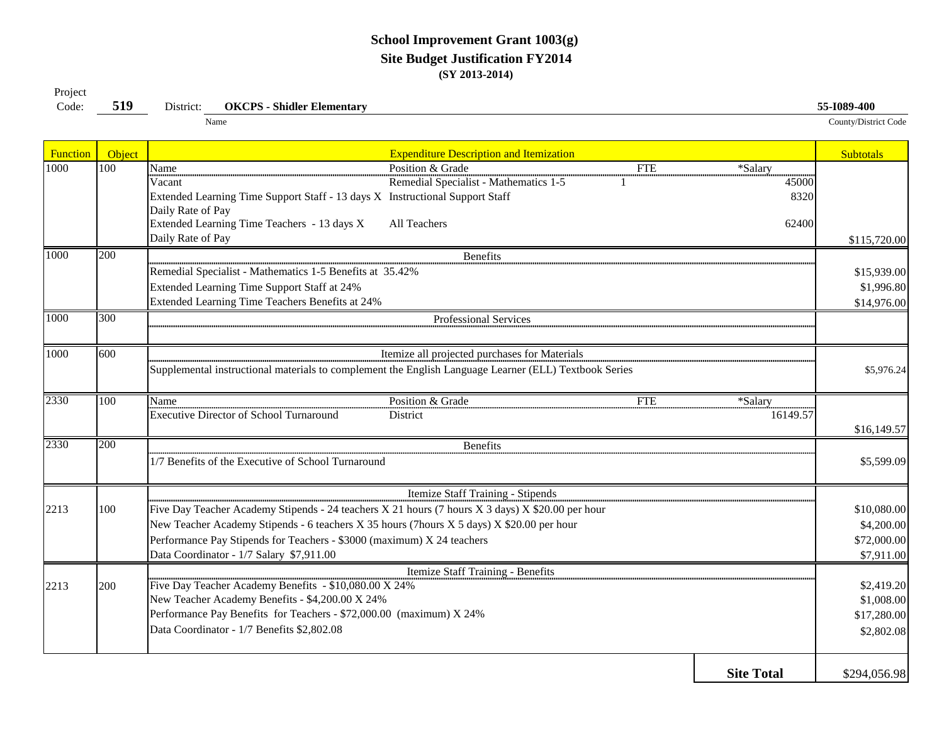#### **School Improvement Grant 1003(g) Site Budget Justification FY2014 (SY 2013-2014)**

| rioject<br>Code: | 519    | <b>OKCPS - Shidler Elementary</b><br>District:                                                   |                                                                                                       |            |                   | 55-1089-400          |
|------------------|--------|--------------------------------------------------------------------------------------------------|-------------------------------------------------------------------------------------------------------|------------|-------------------|----------------------|
|                  |        | Name                                                                                             |                                                                                                       |            |                   | County/District Code |
| Function         | Object |                                                                                                  | <b>Expenditure Description and Itemization</b>                                                        |            |                   | <b>Subtotals</b>     |
| 1000             | 100    | Name                                                                                             | Position & Grade                                                                                      | <b>FTE</b> | *Salary           |                      |
|                  |        | Vacant                                                                                           | Remedial Specialist - Mathematics 1-5                                                                 |            | 45000             |                      |
|                  |        | Extended Learning Time Support Staff - 13 days X Instructional Support Staff                     |                                                                                                       |            | 8320              |                      |
|                  |        | Daily Rate of Pay                                                                                |                                                                                                       |            |                   |                      |
|                  |        | Extended Learning Time Teachers - 13 days X                                                      | All Teachers                                                                                          |            | 62400             |                      |
|                  |        | Daily Rate of Pay                                                                                |                                                                                                       |            |                   | \$115,720.00         |
| 1000             | 200    |                                                                                                  | <b>Benefits</b>                                                                                       |            |                   |                      |
|                  |        | Remedial Specialist - Mathematics 1-5 Benefits at 35.42%                                         |                                                                                                       |            |                   | \$15,939.00          |
|                  |        | Extended Learning Time Support Staff at 24%                                                      |                                                                                                       |            |                   | \$1,996.80           |
|                  |        | Extended Learning Time Teachers Benefits at 24%                                                  |                                                                                                       |            |                   | \$14,976.00          |
| 1000             | 300    |                                                                                                  | Professional Services                                                                                 |            |                   |                      |
|                  |        |                                                                                                  |                                                                                                       |            |                   |                      |
| 1000             | 600    |                                                                                                  | Itemize all projected purchases for Materials                                                         |            |                   |                      |
|                  |        |                                                                                                  | Supplemental instructional materials to complement the English Language Learner (ELL) Textbook Series |            |                   | \$5,976.24           |
|                  |        |                                                                                                  |                                                                                                       |            |                   |                      |
| 2330             | 100    | Name                                                                                             | Position & Grade                                                                                      | <b>FTE</b> | *Salary           |                      |
|                  |        | Executive Director of School Turnaround                                                          | District                                                                                              |            | 16149.57          |                      |
|                  |        |                                                                                                  |                                                                                                       |            |                   | \$16,149.57          |
| 2330             | 200    |                                                                                                  | <b>Benefits</b>                                                                                       |            |                   |                      |
|                  |        | 1/7 Benefits of the Executive of School Turnaround                                               |                                                                                                       |            |                   | \$5,599.09           |
|                  |        |                                                                                                  |                                                                                                       |            |                   |                      |
|                  |        |                                                                                                  | Itemize Staff Training - Stipends                                                                     |            |                   |                      |
| 2213             | 100    | Five Day Teacher Academy Stipends - 24 teachers X 21 hours (7 hours X 3 days) X \$20.00 per hour |                                                                                                       |            |                   | \$10,080.00          |
|                  |        | New Teacher Academy Stipends - 6 teachers X 35 hours (7hours X 5 days) X \$20.00 per hour        |                                                                                                       |            |                   | \$4,200.00           |
|                  |        | Performance Pay Stipends for Teachers - \$3000 (maximum) X 24 teachers                           |                                                                                                       |            |                   | \$72,000.00          |
|                  |        | Data Coordinator - 1/7 Salary \$7,911.00                                                         |                                                                                                       |            |                   | \$7,911.00           |
|                  |        |                                                                                                  | Itemize Staff Training - Benefits                                                                     |            |                   |                      |
| 2213             | 200    | Five Day Teacher Academy Benefits - \$10,080.00 X 24%                                            |                                                                                                       |            |                   | \$2,419.20           |
|                  |        | New Teacher Academy Benefits - \$4,200.00 X 24%                                                  |                                                                                                       |            |                   | \$1,008.00           |
|                  |        | Performance Pay Benefits for Teachers - \$72,000.00 (maximum) X 24%                              |                                                                                                       |            |                   | \$17,280.00          |
|                  |        | Data Coordinator - 1/7 Benefits \$2,802.08                                                       |                                                                                                       |            |                   | \$2,802.08           |
|                  |        |                                                                                                  |                                                                                                       |            |                   |                      |
|                  |        |                                                                                                  |                                                                                                       |            |                   |                      |
|                  |        |                                                                                                  |                                                                                                       |            | <b>Site Total</b> | \$294,056.98         |

Project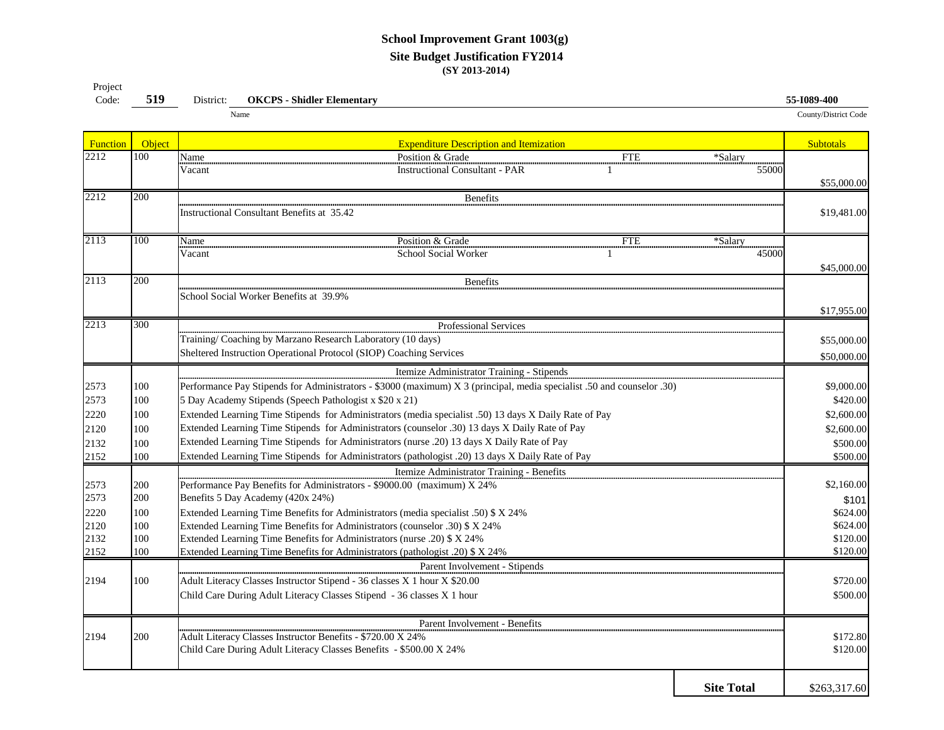#### **School Improvement Grant 1003(g) Site Budget Justification FY2014 (SY 2013-2014)**

| $\sim$ $\sim$ $\sim$ $\sim$<br>Code: | 519 | District. | <b>Shidler Elementary</b><br>OKCPS | 55-1089-400          |
|--------------------------------------|-----|-----------|------------------------------------|----------------------|
|                                      |     |           | Name                               | County/District Code |

| Function | Object | <b>Expenditure Description and Itemization</b>                                                                         | <b>Subtotals</b> |
|----------|--------|------------------------------------------------------------------------------------------------------------------------|------------------|
| 2212     | 100    | Name<br>Position & Grade<br><b>FTE</b><br>*Salary                                                                      |                  |
|          |        | <b>Instructional Consultant - PAR</b><br>Vacant<br>55000                                                               |                  |
|          |        |                                                                                                                        | \$55,000.00      |
| 2212     | 200    | Benefits                                                                                                               |                  |
|          |        | <b>Instructional Consultant Benefits at 35.42</b>                                                                      | \$19,481.00      |
|          |        |                                                                                                                        |                  |
| 2113     | 100    | Position & Grade<br><b>FTE</b><br>Name<br>*Salary                                                                      |                  |
|          |        | Vacant<br>School Social Worker<br>45000                                                                                |                  |
|          |        |                                                                                                                        | \$45,000.00      |
| 2113     | 200    | <b>Benefits</b>                                                                                                        |                  |
|          |        | School Social Worker Benefits at 39.9%                                                                                 |                  |
|          |        |                                                                                                                        | \$17,955.00      |
| 2213     | 300    | Professional Services                                                                                                  |                  |
|          |        | Training/Coaching by Marzano Research Laboratory (10 days)                                                             | \$55,000.00      |
|          |        | Sheltered Instruction Operational Protocol (SIOP) Coaching Services                                                    | \$50,000.00      |
|          |        | Itemize Administrator Training - Stipends                                                                              |                  |
| 2573     | 100    | Performance Pay Stipends for Administrators - \$3000 (maximum) X 3 (principal, media specialist .50 and counselor .30) | \$9,000.00       |
| 2573     | 100    | 5 Day Academy Stipends (Speech Pathologist x \$20 x 21)                                                                | \$420.00         |
| 2220     | 100    | Extended Learning Time Stipends for Administrators (media specialist .50) 13 days X Daily Rate of Pay                  | \$2,600.00       |
| 2120     | 100    | Extended Learning Time Stipends for Administrators (counselor .30) 13 days X Daily Rate of Pay                         | \$2,600.00       |
| 2132     | 100    | Extended Learning Time Stipends for Administrators (nurse .20) 13 days X Daily Rate of Pay                             | \$500.00         |
| 2152     | 100    | Extended Learning Time Stipends for Administrators (pathologist .20) 13 days X Daily Rate of Pay                       | \$500.00         |
|          |        | Itemize Administrator Training - Benefits                                                                              |                  |
| 2573     | 200    | Performance Pay Benefits for Administrators - \$9000.00 (maximum) X 24%                                                | \$2,160.00       |
| 2573     | 200    | Benefits 5 Day Academy (420x 24%)                                                                                      | \$101            |
| 2220     | 100    | Extended Learning Time Benefits for Administrators (media specialist .50) \$ X 24%                                     | \$624.00         |
| 2120     | 100    | Extended Learning Time Benefits for Administrators (counselor .30) \$ X 24%                                            | \$624.00         |
| 2132     | 100    | Extended Learning Time Benefits for Administrators (nurse .20) \$ X 24%                                                | \$120.00         |
| 2152     | 100    | Extended Learning Time Benefits for Administrators (pathologist .20) \$ X 24%                                          | \$120.00         |
|          |        | Parent Involvement - Stipends                                                                                          |                  |
| 2194     | 100    | Adult Literacy Classes Instructor Stipend - 36 classes X 1 hour X \$20.00                                              | \$720.00         |
|          |        | Child Care During Adult Literacy Classes Stipend - 36 classes X 1 hour                                                 | \$500.00         |
|          |        | Parent Involvement - Benefits                                                                                          |                  |
| 2194     | 200    | Adult Literacy Classes Instructor Benefits - \$720.00 X 24%                                                            | \$172.80         |
|          |        | Child Care During Adult Literacy Classes Benefits - \$500.00 X 24%                                                     | \$120.00         |
|          |        |                                                                                                                        |                  |
|          |        | <b>Site Total</b>                                                                                                      | \$263,317.60     |
|          |        |                                                                                                                        |                  |

Project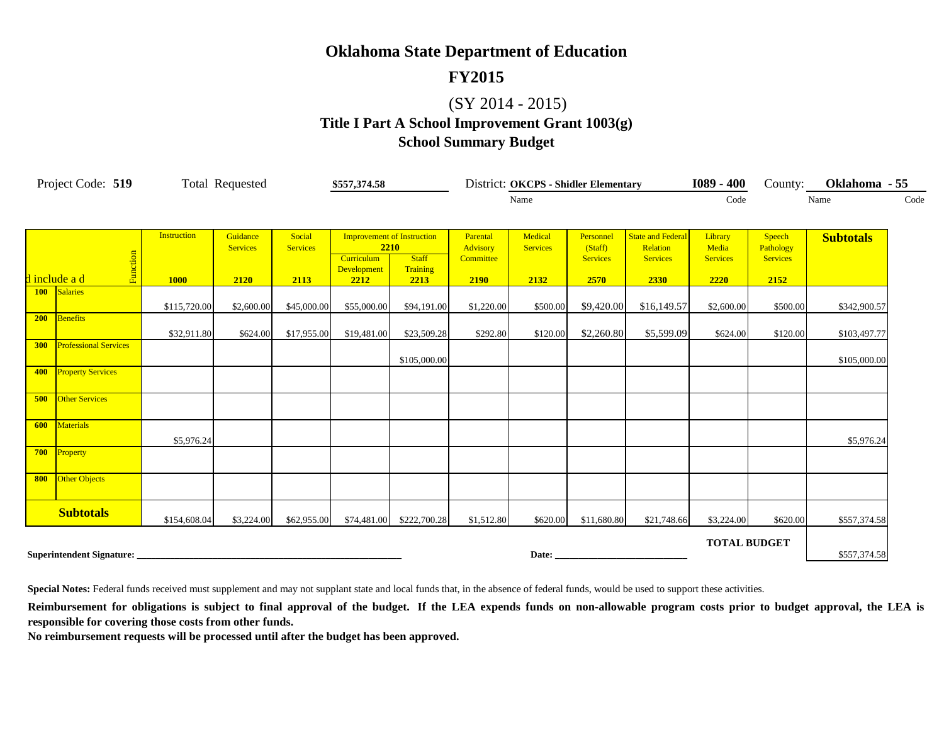#### **FY2015**

## (SY 2014 - 2015)

## **Title I Part A School Improvement Grant 1003(g) School Summary Budget**

| Project Code: 519 |                              |                    | <b>Total Requested</b>      |                           | \$557,374.58                      |                                   | <b>District: OKCPS - Shidler Elementary</b> |                            |                         |                                      | $1089 - 400$            | County:                    | Oklahoma - 55    |      |
|-------------------|------------------------------|--------------------|-----------------------------|---------------------------|-----------------------------------|-----------------------------------|---------------------------------------------|----------------------------|-------------------------|--------------------------------------|-------------------------|----------------------------|------------------|------|
|                   |                              |                    |                             |                           |                                   |                                   | Name                                        |                            |                         |                                      | Code                    |                            | Name             | Code |
|                   |                              | <b>Instruction</b> |                             |                           |                                   |                                   |                                             |                            |                         |                                      |                         |                            |                  |      |
|                   |                              |                    | Guidance<br><b>Services</b> | Social<br><b>Services</b> | 2210                              | <b>Improvement of Instruction</b> | Parental<br>Advisory                        | Medical<br><b>Services</b> | Personnel<br>(Staff)    | <b>State and Federal</b><br>Relation | Library<br>Media        | <b>Speech</b><br>Pathology | <b>Subtotals</b> |      |
|                   | Function<br>d include a d    | <b>1000</b>        | 2120                        | 2113                      | Curriculum<br>Development<br>2212 | <b>Staff</b><br>Training<br>2213  | Committee<br>2190                           | 2132                       | <b>Services</b><br>2570 | <b>Services</b><br>2330              | <b>Services</b><br>2220 | <b>Services</b><br>2152    |                  |      |
|                   | 100 Salaries                 |                    |                             |                           |                                   |                                   |                                             |                            |                         |                                      |                         |                            |                  |      |
|                   | 200 Benefits                 | \$115,720.00       | \$2,600.00                  | \$45,000.00               | \$55,000.00                       | \$94,191.00                       | \$1,220.00                                  | \$500.00                   | \$9,420.00              | \$16,149.57                          | \$2,600.00              | \$500.00                   | \$342,900.57     |      |
|                   |                              | \$32,911.80        | \$624.00                    | \$17,955.00               | \$19,481.00                       | \$23,509.28                       | \$292.80                                    | \$120.00                   | \$2,260.80              | \$5,599.09                           | \$624.00                | \$120.00                   | \$103,497.77     |      |
| 300               | <b>Professional Services</b> |                    |                             |                           |                                   | \$105,000.00                      |                                             |                            |                         |                                      |                         |                            | \$105,000.00     |      |
| 400               | <b>Property Services</b>     |                    |                             |                           |                                   |                                   |                                             |                            |                         |                                      |                         |                            |                  |      |
| 500               | <b>Other Services</b>        |                    |                             |                           |                                   |                                   |                                             |                            |                         |                                      |                         |                            |                  |      |
| 600               | <b>Materials</b>             | \$5,976.24         |                             |                           |                                   |                                   |                                             |                            |                         |                                      |                         |                            | \$5,976.24       |      |
| 700               | Property                     |                    |                             |                           |                                   |                                   |                                             |                            |                         |                                      |                         |                            |                  |      |
| 800               | <b>Other Objects</b>         |                    |                             |                           |                                   |                                   |                                             |                            |                         |                                      |                         |                            |                  |      |
|                   | <b>Subtotals</b>             | \$154,608.04       | \$3,224.00                  | \$62,955.00               | \$74,481.00                       | \$222,700.28                      | \$1,512.80                                  | \$620.00                   | \$11,680.80             | \$21,748.66                          | \$3,224.00              | \$620.00                   | \$557,374.58     |      |
|                   | Superintendent Signature:    |                    |                             |                           |                                   |                                   |                                             | Date:                      |                         |                                      | <b>TOTAL BUDGET</b>     |                            | \$557,374.58     |      |

**Special Notes:** Federal funds received must supplement and may not supplant state and local funds that, in the absence of federal funds, would be used to support these activities.

Reimbursement for obligations is subject to final approval of the budget. If the LEA expends funds on non-allowable program costs prior to budget approval, the LEA is **responsible for covering those costs from other funds.**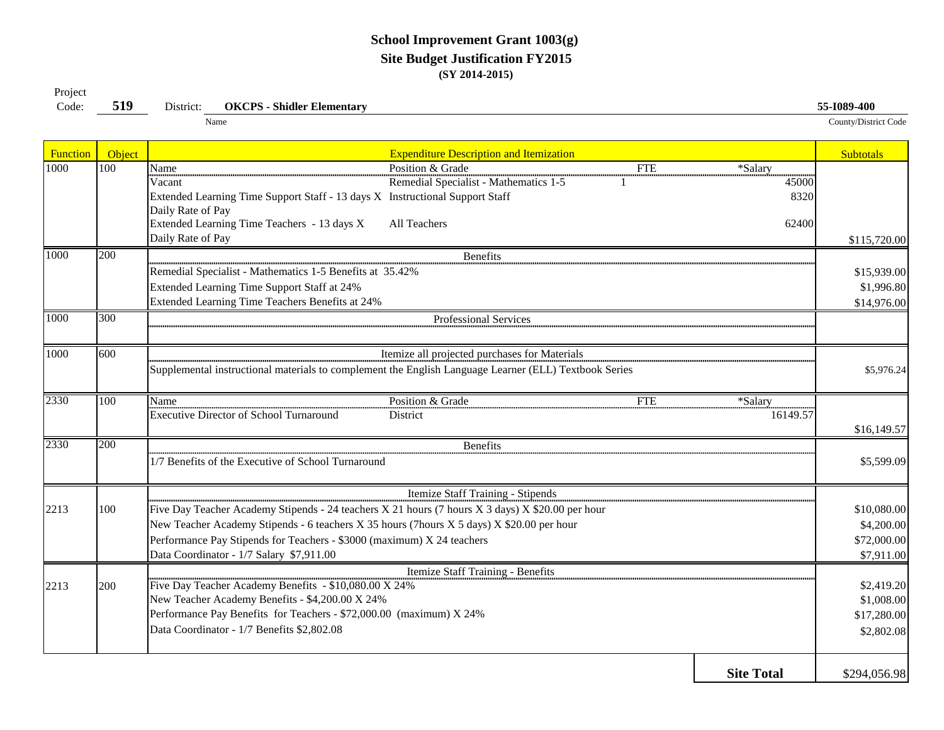#### **School Improvement Grant 1003(g) Site Budget Justification FY2015 (SY 2014-2015)**

| Code:    | 519              | <b>OKCPS - Shidler Elementary</b><br>District:                                                        | 55-I089-400          |
|----------|------------------|-------------------------------------------------------------------------------------------------------|----------------------|
|          |                  | Name                                                                                                  | County/District Code |
| Function | Object           | <b>Expenditure Description and Itemization</b>                                                        | <b>Subtotals</b>     |
| 1000     | $\overline{100}$ | Position & Grade<br><b>FTE</b><br>*Salary<br>Name                                                     |                      |
|          |                  | Remedial Specialist - Mathematics 1-5<br>Vacant<br>45000                                              |                      |
|          |                  | Extended Learning Time Support Staff - 13 days X Instructional Support Staff<br>8320                  |                      |
|          |                  | Daily Rate of Pay                                                                                     |                      |
|          |                  | Extended Learning Time Teachers - 13 days X<br>All Teachers<br>62400                                  |                      |
|          |                  | Daily Rate of Pay                                                                                     | \$115,720.00         |
| 1000     | 200              | <b>Benefits</b>                                                                                       |                      |
|          |                  | Remedial Specialist - Mathematics 1-5 Benefits at 35.42%                                              | \$15,939.00          |
|          |                  | Extended Learning Time Support Staff at 24%                                                           | \$1,996.80           |
|          |                  | Extended Learning Time Teachers Benefits at 24%                                                       | \$14,976.00          |
| 1000     | 300              | Professional Services                                                                                 |                      |
|          |                  |                                                                                                       |                      |
| 1000     | 600              | Itemize all projected purchases for Materials                                                         |                      |
|          |                  | Supplemental instructional materials to complement the English Language Learner (ELL) Textbook Series | \$5,976.24           |
|          |                  |                                                                                                       |                      |
| 2330     | 100              | Position & Grade<br>FTE<br>*Salary<br>Name                                                            |                      |
|          |                  | Executive Director of School Turnaround<br>16149.57<br>District                                       |                      |
|          |                  |                                                                                                       | \$16,149.57          |
| 2330     | 200              | <b>Benefits</b>                                                                                       |                      |
|          |                  | 1/7 Benefits of the Executive of School Turnaround                                                    | \$5,599.09           |
|          |                  |                                                                                                       |                      |
|          |                  | Itemize Staff Training - Stipends                                                                     |                      |
| 2213     | 100              | Five Day Teacher Academy Stipends - 24 teachers X 21 hours (7 hours X 3 days) X \$20.00 per hour      | \$10,080.00          |
|          |                  | New Teacher Academy Stipends - 6 teachers X 35 hours (7hours X 5 days) X \$20.00 per hour             | \$4,200.00           |
|          |                  | Performance Pay Stipends for Teachers - \$3000 (maximum) X 24 teachers                                | \$72,000.00          |
|          |                  | Data Coordinator - 1/7 Salary \$7,911.00                                                              | \$7,911.00           |
|          |                  | Itemize Staff Training - Benefits                                                                     |                      |
| 2213     | 200              | Five Day Teacher Academy Benefits - \$10,080.00 X 24%                                                 | \$2,419.20           |
|          |                  | New Teacher Academy Benefits - \$4,200.00 X 24%                                                       | \$1,008.00           |
|          |                  | Performance Pay Benefits for Teachers - \$72,000.00 (maximum) X 24%                                   | \$17,280.00          |
|          |                  | Data Coordinator - 1/7 Benefits \$2,802.08                                                            | \$2,802.08           |
|          |                  |                                                                                                       |                      |
|          |                  |                                                                                                       |                      |

Project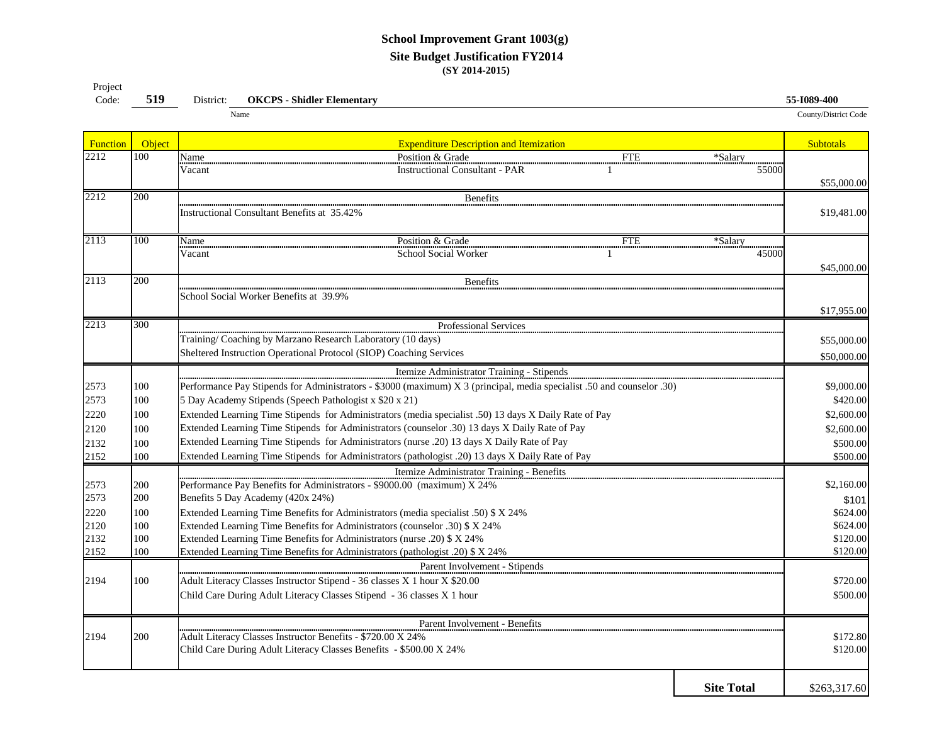#### **School Improvement Grant 1003(g) Site Budget Justification FY2014 (SY 2014-2015)**

| Project |     |           |                                   |                             |
|---------|-----|-----------|-----------------------------------|-----------------------------|
| Code:   | 519 | District: | <b>OKCPS - Shidler Elementary</b> | 55-1089-400                 |
|         |     |           | Name                              | <b>County/District Code</b> |

| Function     | Object     | <b>Expenditure Description and Itemization</b>                                                                                                                                                          | <b>Subtotals</b>     |  |  |  |  |  |  |  |
|--------------|------------|---------------------------------------------------------------------------------------------------------------------------------------------------------------------------------------------------------|----------------------|--|--|--|--|--|--|--|
| 2212         | 100        | Position & Grade<br>Name<br><b>FTE</b><br>*Salary                                                                                                                                                       |                      |  |  |  |  |  |  |  |
|              |            | Vacant<br><b>Instructional Consultant - PAR</b><br>55000                                                                                                                                                |                      |  |  |  |  |  |  |  |
|              |            |                                                                                                                                                                                                         | \$55,000.00          |  |  |  |  |  |  |  |
| 2212         | 200        | <b>Benefits</b>                                                                                                                                                                                         |                      |  |  |  |  |  |  |  |
|              |            | <b>Instructional Consultant Benefits at 35.42%</b>                                                                                                                                                      | \$19,481.00          |  |  |  |  |  |  |  |
|              |            |                                                                                                                                                                                                         |                      |  |  |  |  |  |  |  |
| 2113         | 100        | Position & Grade<br>Name<br><b>FTE</b><br>*Salary                                                                                                                                                       |                      |  |  |  |  |  |  |  |
|              |            | School Social Worker<br>45000<br>Vacant                                                                                                                                                                 |                      |  |  |  |  |  |  |  |
|              |            |                                                                                                                                                                                                         | \$45,000.00          |  |  |  |  |  |  |  |
| 2113         | 200        | <b>Benefits</b>                                                                                                                                                                                         |                      |  |  |  |  |  |  |  |
|              |            | School Social Worker Benefits at 39.9%                                                                                                                                                                  |                      |  |  |  |  |  |  |  |
|              |            |                                                                                                                                                                                                         | \$17,955.00          |  |  |  |  |  |  |  |
| 2213         | 300        | Professional Services                                                                                                                                                                                   |                      |  |  |  |  |  |  |  |
|              |            | Training/ Coaching by Marzano Research Laboratory (10 days)                                                                                                                                             | \$55,000.00          |  |  |  |  |  |  |  |
|              |            | Sheltered Instruction Operational Protocol (SIOP) Coaching Services                                                                                                                                     | \$50,000.00          |  |  |  |  |  |  |  |
|              |            | Itemize Administrator Training - Stipends                                                                                                                                                               |                      |  |  |  |  |  |  |  |
| 2573         | 100        | Performance Pay Stipends for Administrators - \$3000 (maximum) X 3 (principal, media specialist .50 and counselor .30)                                                                                  | \$9,000.00           |  |  |  |  |  |  |  |
|              |            |                                                                                                                                                                                                         | \$420.00             |  |  |  |  |  |  |  |
| 2573         | 100        | 5 Day Academy Stipends (Speech Pathologist x \$20 x 21)                                                                                                                                                 |                      |  |  |  |  |  |  |  |
| 2220         | 100        | Extended Learning Time Stipends for Administrators (media specialist .50) 13 days X Daily Rate of Pay<br>Extended Learning Time Stipends for Administrators (counselor .30) 13 days X Daily Rate of Pay | \$2,600.00           |  |  |  |  |  |  |  |
| 2120         | 100        |                                                                                                                                                                                                         | \$2,600.00           |  |  |  |  |  |  |  |
| 2132         | 100        | Extended Learning Time Stipends for Administrators (nurse .20) 13 days X Daily Rate of Pay                                                                                                              | \$500.00             |  |  |  |  |  |  |  |
| 2152         | 100        | Extended Learning Time Stipends for Administrators (pathologist .20) 13 days X Daily Rate of Pay                                                                                                        | \$500.00             |  |  |  |  |  |  |  |
|              |            | Itemize Administrator Training - Benefits                                                                                                                                                               | \$2,160.00           |  |  |  |  |  |  |  |
| 2573         | 200        | Performance Pay Benefits for Administrators - \$9000.00 (maximum) X 24%                                                                                                                                 |                      |  |  |  |  |  |  |  |
| 2573         | 200        | Benefits 5 Day Academy (420x 24%)                                                                                                                                                                       | \$101                |  |  |  |  |  |  |  |
| 2220         | 100        | Extended Learning Time Benefits for Administrators (media specialist .50) \$ X 24%                                                                                                                      | \$624.00             |  |  |  |  |  |  |  |
| 2120         | 100        | Extended Learning Time Benefits for Administrators (counselor .30) \$ X 24%                                                                                                                             | \$624.00<br>\$120.00 |  |  |  |  |  |  |  |
| 2132<br>2152 | 100<br>100 | Extended Learning Time Benefits for Administrators (nurse .20) \$ X 24%                                                                                                                                 |                      |  |  |  |  |  |  |  |
|              |            | Extended Learning Time Benefits for Administrators (pathologist .20) \$ X 24%                                                                                                                           | \$120.00             |  |  |  |  |  |  |  |
|              |            | Parent Involvement - Stipends                                                                                                                                                                           |                      |  |  |  |  |  |  |  |
| 2194         | 100        | Adult Literacy Classes Instructor Stipend - 36 classes X 1 hour X \$20.00                                                                                                                               | \$720.00             |  |  |  |  |  |  |  |
|              |            | Child Care During Adult Literacy Classes Stipend - 36 classes X 1 hour                                                                                                                                  | \$500.00             |  |  |  |  |  |  |  |
|              |            | Parent Involvement - Benefits                                                                                                                                                                           |                      |  |  |  |  |  |  |  |
| 2194         | 200        | Adult Literacy Classes Instructor Benefits - \$720.00 X 24%                                                                                                                                             | \$172.80             |  |  |  |  |  |  |  |
|              |            | Child Care During Adult Literacy Classes Benefits - \$500.00 X 24%                                                                                                                                      | \$120.00             |  |  |  |  |  |  |  |
|              |            |                                                                                                                                                                                                         |                      |  |  |  |  |  |  |  |
|              |            | <b>Site Total</b>                                                                                                                                                                                       | \$263,317.60         |  |  |  |  |  |  |  |